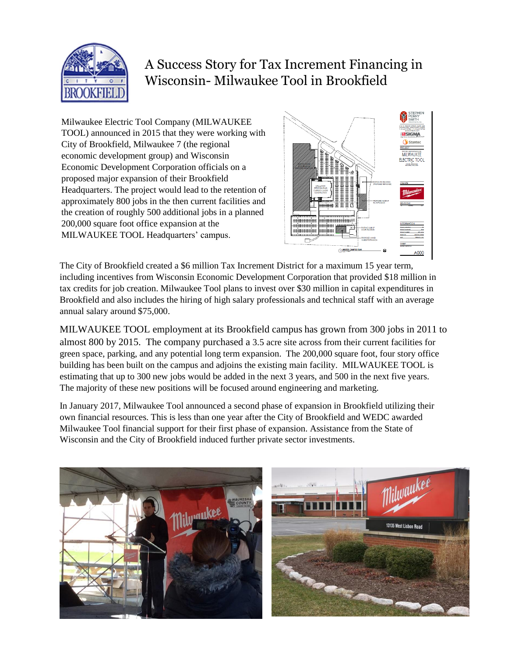

## A Success Story for Tax Increment Financing in Wisconsin- Milwaukee Tool in Brookfield

Milwaukee Electric Tool Company (MILWAUKEE TOOL) announced in 2015 that they were working with City of Brookfield, Milwaukee 7 (the regional economic development group) and Wisconsin Economic Development Corporation officials on a proposed major expansion of their Brookfield Headquarters. The project would lead to the retention of approximately 800 jobs in the then current facilities and the creation of roughly 500 additional jobs in a planned 200,000 square foot office expansion at the MILWAUKEE TOOL Headquarters' campus.



The City of Brookfield created a \$6 million Tax Increment District for a maximum 15 year term, including incentives from Wisconsin Economic Development Corporation that provided \$18 million in tax credits for job creation. Milwaukee Tool plans to invest over \$30 million in capital expenditures in Brookfield and also includes the hiring of high salary professionals and technical staff with an average annual salary around \$75,000.

MILWAUKEE TOOL employment at its Brookfield campus has grown from 300 jobs in 2011 to almost 800 by 2015. The company purchased a 3.5 acre site across from their current facilities for green space, parking, and any potential long term expansion. The 200,000 square foot, four story office building has been built on the campus and adjoins the existing main facility. MILWAUKEE TOOL is estimating that up to 300 new jobs would be added in the next 3 years, and 500 in the next five years. The majority of these new positions will be focused around engineering and marketing.

In January 2017, Milwaukee Tool announced a second phase of expansion in Brookfield utilizing their own financial resources. This is less than one year after the City of Brookfield and WEDC awarded Milwaukee Tool financial support for their first phase of expansion. Assistance from the State of Wisconsin and the City of Brookfield induced further private sector investments.